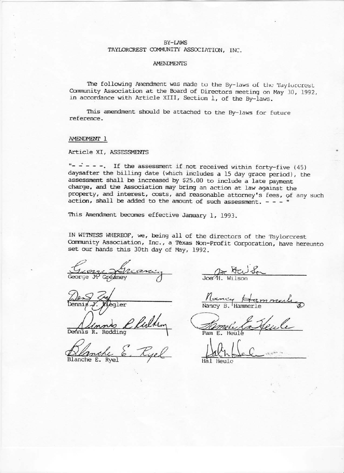## BY-LAWS TAYLORCREST COMMUNITY ASSOCIATION, INC.

#### **AMENDMENTS**

The following Amendment was made to the By-laws of the Taylorcrest Community Association at the Board of Directors meeting on May 30, 1992, in accordance with Article XIII, Section 1, of the By-laws.

This amendment should be attached to the By-laws for future reference.

#### AMENDMENT 1

### Article XI, ASSESSMENTS

"- - - - -. If the assessment if not received within forty-five (45) daysafter the billing date (which includes a 15 day grace period), the assessment shall be increased by \$25.00 to include a late payment charge, and the Association may bring an action at law against the property, and interest, costs, and reasonable attorney's fees, of any such action, shall be added to the amount of such assessment.  $- - -$ 

This Amendment becomes effective January 1, 1993.

IN WITNESS WHEREOF, we, being all of the directors of the Taylorcrest Community Association, Inc., a Texas Non-Profit Corporation, have hereunto set our hands this 30th day of May, 1992.

Gréaney

aler

 $R$ . Redding

Blanche E.

 $\frac{2\pi}{\sqrt{\pi}}$ 

Nancy Har mmer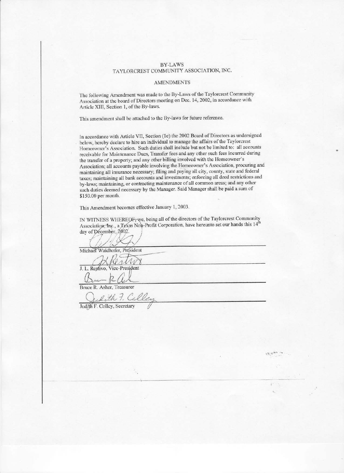#### **BY-LAWS** TAYLORCREST COMMUNITY ASSOCIATION, INC.

#### **AMENDMENTS**

The following Amendment was made to the By-Laws of the Taylorcrest Community Association at the board of Directors meeting on Dec. 14, 2002, in accordance with Article XIII, Section 1, of the By-laws.

This amendment shall be attached to the By-laws for future reference.

In accordance with Article VII, Section (1e) the 2002 Board of Directors as undersigned below, hereby declare to hire an individual to manage the affairs of the Taylorcrest Homeowner's Association. Such duties shall include but not be limited to: all accounts receivable for Maintenance Dues, Transfer fees and any other such fees incurred during the transfer of a property; and any other billing involved with the Homeowner's Association; all accounts payable involving the Homeowner's Association, procuring and maintaining all insurance necessary; filing and paying all city, county, state and federal taxes; maintaining all bank accounts and investments; enforcing all deed restrictions and by-laws; maintaining, or contracting maintenance of all common areas; and any other such duties deemed necessary by the Manager. Said Manager shall be paid a sum of \$150.00 per month.

This Amendment becomes effective January 1, 2003.

IN WITNESS WHEREOF, we, being all of the directors of the Taylorcrest Community Association, Inc., a Texas Non-Profit Corporation, have hereunto set our hands this 14th day of December, 2002.

Michael Waidhofer, President

ren J. L. Restivo, Vice-President

Bruce R. Asher, Treasurer

Sith 7. Calley

Judith F. Colley, Secretary